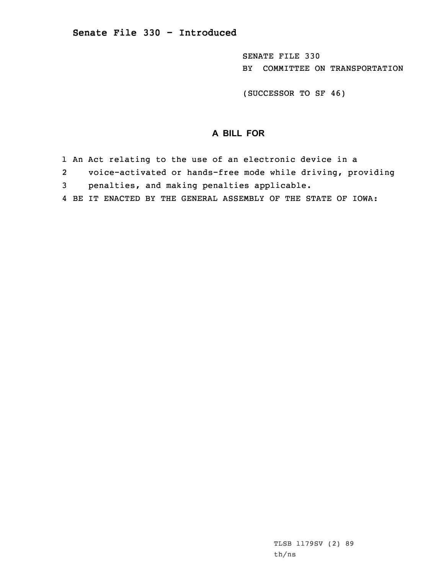SENATE FILE 330 BY COMMITTEE ON TRANSPORTATION

(SUCCESSOR TO SF 46)

## **A BILL FOR**

- 1 An Act relating to the use of an electronic device in <sup>a</sup>
- 2 voice-activated or hands-free mode while driving, providing
- 3 penalties, and making penalties applicable.
- 4 BE IT ENACTED BY THE GENERAL ASSEMBLY OF THE STATE OF IOWA: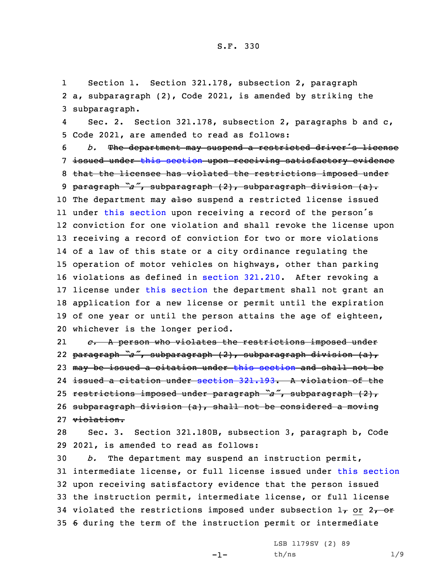1 Section 1. Section 321.178, subsection 2, paragraph 2 a, subparagraph (2), Code 2021, is amended by striking the 3 subparagraph.

4 Sec. 2. Section 321.178, subsection 2, paragraphs b and c, 5 Code 2021, are amended to read as follows:

 *b.* The department may suspend <sup>a</sup> restricted driver's license issued under this [section](https://www.legis.iowa.gov/docs/code/2021/321.178.pdf) upon receiving satisfactory evidence 8 that the licensee has violated the restrictions imposed under paragraph *"a"*, subparagraph (2), subparagraph division (a). 10 The department may also suspend a restricted license issued 11 under this [section](https://www.legis.iowa.gov/docs/code/2021/321.178.pdf) upon receiving a record of the person's conviction for one violation and shall revoke the license upon receiving <sup>a</sup> record of conviction for two or more violations of <sup>a</sup> law of this state or <sup>a</sup> city ordinance regulating the operation of motor vehicles on highways, other than parking violations as defined in section [321.210](https://www.legis.iowa.gov/docs/code/2021/321.210.pdf). After revoking <sup>a</sup> license under this [section](https://www.legis.iowa.gov/docs/code/2021/321.178.pdf) the department shall not grant an application for <sup>a</sup> new license or permit until the expiration of one year or until the person attains the age of eighteen, whichever is the longer period.

21 *c.* <sup>A</sup> person who violates the restrictions imposed under paragraph *"a"*, subparagraph (2), subparagraph division (a), 23 may be issued a citation under this [section](https://www.legis.iowa.gov/docs/code/2021/321.178.pdf) and shall not be issued <sup>a</sup> citation under [section](https://www.legis.iowa.gov/docs/code/2021/321.193.pdf) 321.193. A violation of the restrictions imposed under paragraph *"a"*, subparagraph (2), subparagraph division (a), shall not be considered <sup>a</sup> moving violation.

28 Sec. 3. Section 321.180B, subsection 3, paragraph b, Code 29 2021, is amended to read as follows:

 *b.* The department may suspend an instruction permit, intermediate license, or full license issued under this [section](https://www.legis.iowa.gov/docs/code/2021/321.180B.pdf) upon receiving satisfactory evidence that the person issued the instruction permit, intermediate license, or full license 34 violated the restrictions imposed under subsection  $1<sub>\tau</sub>$  or  $2<sub>\tau</sub>$  or 6 during the term of the instruction permit or intermediate

-1-

LSB 1179SV (2) 89 th/ns 1/9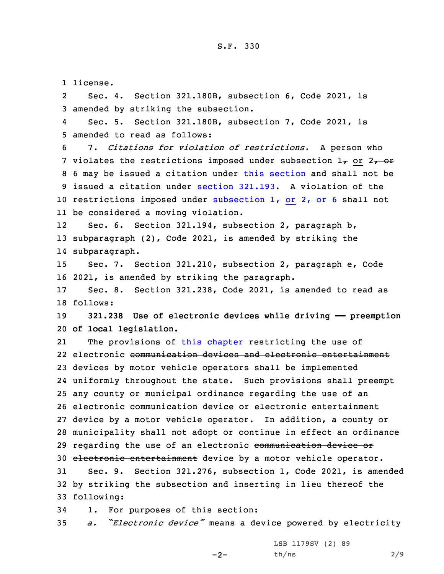1 license.

2 Sec. 4. Section 321.180B, subsection 6, Code 2021, is 3 amended by striking the subsection.

4 Sec. 5. Section 321.180B, subsection 7, Code 2021, is 5 amended to read as follows:

 7. *Citations for violation of restrictions.* <sup>A</sup> person who 7 violates the restrictions imposed under subsection  $1<sub>T</sub>$  or  $2<sub>T</sub>$  or 6 may be issued <sup>a</sup> citation under this [section](https://www.legis.iowa.gov/docs/code/2021/321.180B.pdf) and shall not be issued <sup>a</sup> citation under [section](https://www.legis.iowa.gov/docs/code/2021/321.193.pdf) 321.193. A violation of the 10 restrictions imposed under [subsection](https://www.legis.iowa.gov/docs/code/2021/321.180B.pdf)  $1<sub>T</sub>$  or  $2<sub>T</sub>$  or 6 shall not be considered <sup>a</sup> moving violation.

12 Sec. 6. Section 321.194, subsection 2, paragraph b, 13 subparagraph (2), Code 2021, is amended by striking the 14 subparagraph.

15 Sec. 7. Section 321.210, subsection 2, paragraph e, Code 16 2021, is amended by striking the paragraph.

17 Sec. 8. Section 321.238, Code 2021, is amended to read as 18 follows:

19 **321.238 Use of electronic devices while driving —— preemption** 20 **of local legislation.**

21 The provisions of this [chapter](https://www.legis.iowa.gov/docs/code/2021/321.pdf) restricting the use of 22 electronic <del>communication devices and electronic entertainment</del> devices by motor vehicle operators shall be implemented uniformly throughout the state. Such provisions shall preempt any county or municipal ordinance regarding the use of an electronic communication device or electronic entertainment device by <sup>a</sup> motor vehicle operator. In addition, <sup>a</sup> county or municipality shall not adopt or continue in effect an ordinance 29 regarding the use of an electronic communication device or electronic entertainment device by <sup>a</sup> motor vehicle operator. Sec. 9. Section 321.276, subsection 1, Code 2021, is amended

32 by striking the subsection and inserting in lieu thereof the 33 following:

34 1. For purposes of this section:

<sup>35</sup> *a. "Electronic device"* means <sup>a</sup> device powered by electricity

 $-2-$ 

LSB 1179SV (2) 89  $th/ns$  2/9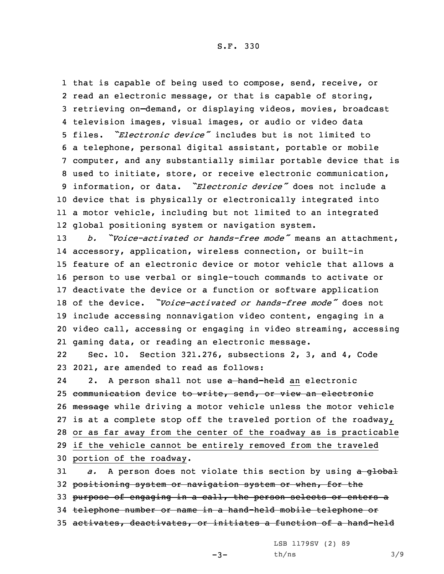S.F. 330

 that is capable of being used to compose, send, receive, or read an electronic message, or that is capable of storing, retrieving on—demand, or displaying videos, movies, broadcast television images, visual images, or audio or video data files. *"Electronic device"* includes but is not limited to <sup>a</sup> telephone, personal digital assistant, portable or mobile computer, and any substantially similar portable device that is used to initiate, store, or receive electronic communication, information, or data. *"Electronic device"* does not include <sup>a</sup> device that is physically or electronically integrated into <sup>a</sup> motor vehicle, including but not limited to an integrated global positioning system or navigation system.

 *b. "Voice-activated or hands-free mode"* means an attachment, accessory, application, wireless connection, or built-in feature of an electronic device or motor vehicle that allows <sup>a</sup> person to use verbal or single-touch commands to activate or deactivate the device or <sup>a</sup> function or software application of the device. *"Voice-activated or hands-free mode"* does not include accessing nonnavigation video content, engaging in <sup>a</sup> video call, accessing or engaging in video streaming, accessing gaming data, or reading an electronic message.

22 Sec. 10. Section 321.276, subsections 2, 3, and 4, Code 23 2021, are amended to read as follows:

242. A person shall not use a hand-held an electronic communication device to write, send, or view an electronic message while driving <sup>a</sup> motor vehicle unless the motor vehicle is at <sup>a</sup> complete stop off the traveled portion of the roadway, or as far away from the center of the roadway as is practicable if the vehicle cannot be entirely removed from the traveled portion of the roadway.

 *a.* <sup>A</sup> person does not violate this section by using <sup>a</sup> global positioning system or navigation system or when, for the 33 purpose of engaging in a call, the person selects or enters a telephone number or name in <sup>a</sup> hand-held mobile telephone or activates, deactivates, or initiates <sup>a</sup> function of <sup>a</sup> hand-held

LSB 1179SV (2) 89

 $-3-$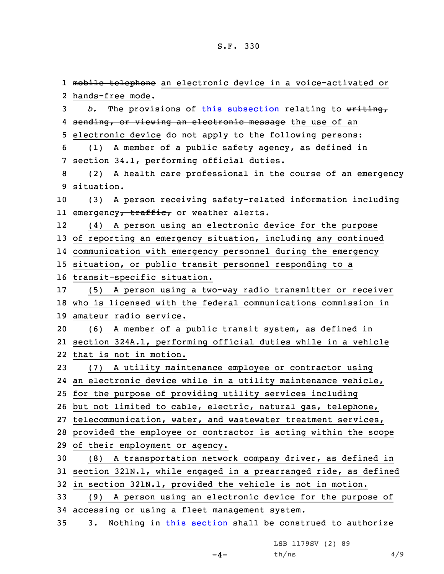1 <del>mobile telephone</del> an electronic device in a voice-activated or hands-free mode. *b.* The provisions of this [subsection](https://www.legis.iowa.gov/docs/code/2021/321.276.pdf) relating to writing, 4 <del>sending, or viewing an electronic message</del> the use of an electronic device do not apply to the following persons: (1) <sup>A</sup> member of <sup>a</sup> public safety agency, as defined in section 34.1, performing official duties. (2) <sup>A</sup> health care professional in the course of an emergency situation. (3) <sup>A</sup> person receiving safety-related information including ll emergency<del>, traffic,</del> or weather alerts. 12 (4) <sup>A</sup> person using an electronic device for the purpose of reporting an emergency situation, including any continued communication with emergency personnel during the emergency situation, or public transit personnel responding to <sup>a</sup> transit-specific situation. (5) <sup>A</sup> person using <sup>a</sup> two-way radio transmitter or receiver who is licensed with the federal communications commission in amateur radio service. (6) <sup>A</sup> member of <sup>a</sup> public transit system, as defined in section 324A.1, performing official duties while in <sup>a</sup> vehicle that is not in motion. (7) <sup>A</sup> utility maintenance employee or contractor using an electronic device while in <sup>a</sup> utility maintenance vehicle, for the purpose of providing utility services including but not limited to cable, electric, natural gas, telephone, telecommunication, water, and wastewater treatment services, provided the employee or contractor is acting within the scope of their employment or agency. (8) <sup>A</sup> transportation network company driver, as defined in section 321N.1, while engaged in <sup>a</sup> prearranged ride, as defined in section 321N.1, provided the vehicle is not in motion. (9) <sup>A</sup> person using an electronic device for the purpose of accessing or using <sup>a</sup> fleet management system. 3. Nothing in this [section](https://www.legis.iowa.gov/docs/code/2021/321.276.pdf) shall be construed to authorize

LSB 1179SV (2) 89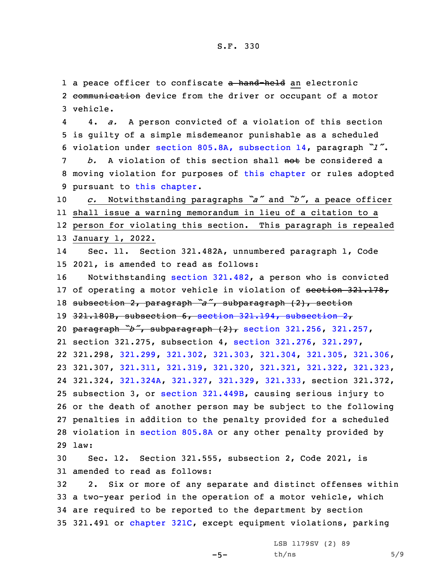1 a peace officer to confiscate <del>a hand-held</del> an electronic 2 <del>communication</del> device from the driver or occupant of a motor 3 vehicle.

4 4. *a.* <sup>A</sup> person convicted of <sup>a</sup> violation of this section 5 is guilty of <sup>a</sup> simple misdemeanor punishable as <sup>a</sup> scheduled <sup>6</sup> violation under section 805.8A, [subsection](https://www.legis.iowa.gov/docs/code/2021/805.8A.pdf) 14, paragraph *"l"*. 7 *b.* A violation of this section shall not be considered <sup>a</sup>

8 moving violation for purposes of this [chapter](https://www.legis.iowa.gov/docs/code/2021/321.pdf) or rules adopted 9 pursuant to this [chapter](https://www.legis.iowa.gov/docs/code/2021/321.pdf).

<sup>10</sup> *c.* Notwithstanding paragraphs *"a"* and *"b"*, <sup>a</sup> peace officer 11 shall issue <sup>a</sup> warning memorandum in lieu of <sup>a</sup> citation to <sup>a</sup> 12 person for violating this section. This paragraph is repealed

## 13 January 1, 2022.

14 Sec. 11. Section 321.482A, unnumbered paragraph 1, Code 15 2021, is amended to read as follows:

 Notwithstanding section [321.482](https://www.legis.iowa.gov/docs/code/2021/321.482.pdf), <sup>a</sup> person who is convicted 17 of operating a motor vehicle in violation of section 321.178, subsection 2, paragraph *"a"*, subparagraph (2), section 321.180B, subsection 6, section 321.194, [subsection](https://www.legis.iowa.gov/docs/code/2021/321.194.pdf) 2, paragraph *"b"*, subparagraph (2), section [321.256](https://www.legis.iowa.gov/docs/code/2021/321.256.pdf), [321.257](https://www.legis.iowa.gov/docs/code/2021/321.257.pdf), section 321.275, subsection 4, section [321.276](https://www.legis.iowa.gov/docs/code/2021/321.276.pdf), [321.297](https://www.legis.iowa.gov/docs/code/2021/321.297.pdf), 321.298, [321.299](https://www.legis.iowa.gov/docs/code/2021/321.299.pdf), [321.302](https://www.legis.iowa.gov/docs/code/2021/321.302.pdf), [321.303](https://www.legis.iowa.gov/docs/code/2021/321.303.pdf), [321.304](https://www.legis.iowa.gov/docs/code/2021/321.304.pdf), [321.305](https://www.legis.iowa.gov/docs/code/2021/321.305.pdf), [321.306](https://www.legis.iowa.gov/docs/code/2021/321.306.pdf), 321.307, [321.311](https://www.legis.iowa.gov/docs/code/2021/321.311.pdf), [321.319](https://www.legis.iowa.gov/docs/code/2021/321.319.pdf), [321.320](https://www.legis.iowa.gov/docs/code/2021/321.320.pdf), [321.321](https://www.legis.iowa.gov/docs/code/2021/321.321.pdf), [321.322](https://www.legis.iowa.gov/docs/code/2021/321.322.pdf), [321.323](https://www.legis.iowa.gov/docs/code/2021/321.323.pdf), 321.324, [321.324A](https://www.legis.iowa.gov/docs/code/2021/321.324A.pdf), [321.327](https://www.legis.iowa.gov/docs/code/2021/321.327.pdf), [321.329](https://www.legis.iowa.gov/docs/code/2021/321.329.pdf), [321.333](https://www.legis.iowa.gov/docs/code/2021/321.333.pdf), section 321.372, subsection 3, or section [321.449B](https://www.legis.iowa.gov/docs/code/2021/321.449B.pdf), causing serious injury to or the death of another person may be subject to the following penalties in addition to the penalty provided for <sup>a</sup> scheduled violation in [section](https://www.legis.iowa.gov/docs/code/2021/805.8A.pdf) 805.8A or any other penalty provided by 29 law:

30 Sec. 12. Section 321.555, subsection 2, Code 2021, is 31 amended to read as follows:

 2. Six or more of any separate and distinct offenses within <sup>a</sup> two-year period in the operation of <sup>a</sup> motor vehicle, which are required to be reported to the department by section 321.491 or [chapter](https://www.legis.iowa.gov/docs/code/2021/321C.pdf) 321C, except equipment violations, parking

 $-5-$ 

LSB 1179SV (2) 89  $th/ns$  5/9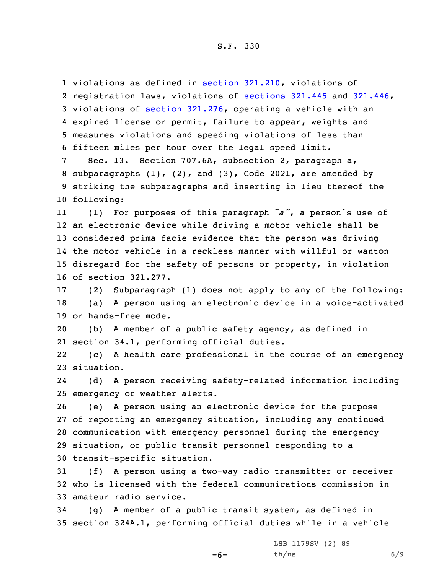violations as defined in section [321.210](https://www.legis.iowa.gov/docs/code/2021/321.210.pdf), violations of registration laws, violations of [sections](https://www.legis.iowa.gov/docs/code/2021/321.445.pdf) 321.445 and [321.446](https://www.legis.iowa.gov/docs/code/2021/321.446.pdf), 3 violations of section  $321.276$ , operating a vehicle with an expired license or permit, failure to appear, weights and measures violations and speeding violations of less than fifteen miles per hour over the legal speed limit.

 Sec. 13. Section 707.6A, subsection 2, paragraph a, subparagraphs (1), (2), and (3), Code 2021, are amended by striking the subparagraphs and inserting in lieu thereof the following:

11 (1) For purposes of this paragraph *"a"*, <sup>a</sup> person's use of an electronic device while driving <sup>a</sup> motor vehicle shall be considered prima facie evidence that the person was driving the motor vehicle in <sup>a</sup> reckless manner with willful or wanton disregard for the safety of persons or property, in violation of section 321.277.

17 (2) Subparagraph (1) does not apply to any of the following: 18 (a) <sup>A</sup> person using an electronic device in <sup>a</sup> voice-activated 19 or hands-free mode.

20 (b) <sup>A</sup> member of <sup>a</sup> public safety agency, as defined in 21 section 34.1, performing official duties.

22 (c) <sup>A</sup> health care professional in the course of an emergency 23 situation.

24 (d) <sup>A</sup> person receiving safety-related information including 25 emergency or weather alerts.

 (e) <sup>A</sup> person using an electronic device for the purpose of reporting an emergency situation, including any continued communication with emergency personnel during the emergency situation, or public transit personnel responding to <sup>a</sup> transit-specific situation.

31 (f) <sup>A</sup> person using <sup>a</sup> two-way radio transmitter or receiver 32 who is licensed with the federal communications commission in 33 amateur radio service.

34 (g) <sup>A</sup> member of <sup>a</sup> public transit system, as defined in 35 section 324A.1, performing official duties while in <sup>a</sup> vehicle

 $-6-$ 

LSB 1179SV (2) 89 th/ns 6/9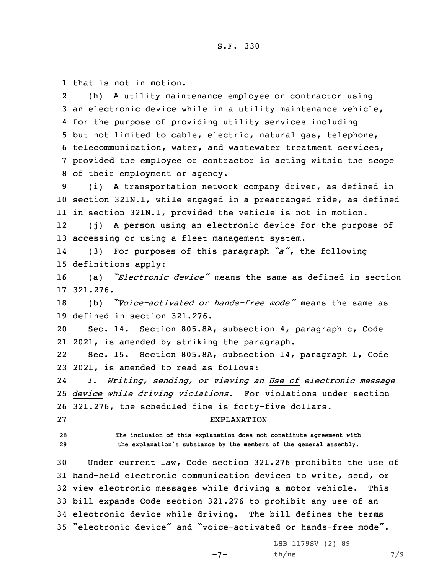1 that is not in motion.

2 (h) <sup>A</sup> utility maintenance employee or contractor using an electronic device while in <sup>a</sup> utility maintenance vehicle, for the purpose of providing utility services including but not limited to cable, electric, natural gas, telephone, telecommunication, water, and wastewater treatment services, provided the employee or contractor is acting within the scope of their employment or agency.

9 (i) <sup>A</sup> transportation network company driver, as defined in 10 section 321N.1, while engaged in <sup>a</sup> prearranged ride, as defined 11 in section 321N.1, provided the vehicle is not in motion.

12 (j) <sup>A</sup> person using an electronic device for the purpose of 13 accessing or using <sup>a</sup> fleet management system.

14 (3) For purposes of this paragraph *"a"*, the following 15 definitions apply:

<sup>16</sup> (a) *"Electronic device"* means the same as defined in section 17 321.276.

<sup>18</sup> (b) *"Voice-activated or hands-free mode"* means the same as 19 defined in section 321.276.

20 Sec. 14. Section 805.8A, subsection 4, paragraph c, Code 21 2021, is amended by striking the paragraph.

22 Sec. 15. Section 805.8A, subsection 14, paragraph l, Code 23 2021, is amended to read as follows:

24 *l. Writing, sending, or viewing an Use of electronic message* 25 *device while driving violations.* For violations under section 26 321.276, the scheduled fine is forty-five dollars.

27 EXPLANATION

28 **The inclusion of this explanation does not constitute agreement with** <sup>29</sup> **the explanation's substance by the members of the general assembly.**

 Under current law, Code section 321.276 prohibits the use of hand-held electronic communication devices to write, send, or view electronic messages while driving <sup>a</sup> motor vehicle. This bill expands Code section 321.276 to prohibit any use of an electronic device while driving. The bill defines the terms "electronic device" and "voice-activated or hands-free mode".

-7-

LSB 1179SV (2) 89 th/ns 7/9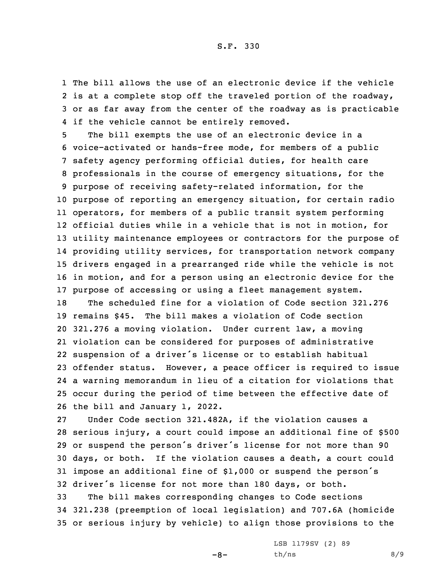The bill allows the use of an electronic device if the vehicle 2 is at a complete stop off the traveled portion of the roadway, or as far away from the center of the roadway as is practicable if the vehicle cannot be entirely removed.

 The bill exempts the use of an electronic device in <sup>a</sup> voice-activated or hands-free mode, for members of <sup>a</sup> public safety agency performing official duties, for health care professionals in the course of emergency situations, for the purpose of receiving safety-related information, for the purpose of reporting an emergency situation, for certain radio operators, for members of <sup>a</sup> public transit system performing official duties while in <sup>a</sup> vehicle that is not in motion, for utility maintenance employees or contractors for the purpose of providing utility services, for transportation network company drivers engaged in <sup>a</sup> prearranged ride while the vehicle is not in motion, and for <sup>a</sup> person using an electronic device for the purpose of accessing or using <sup>a</sup> fleet management system.

 The scheduled fine for <sup>a</sup> violation of Code section 321.276 remains \$45. The bill makes <sup>a</sup> violation of Code section 321.276 <sup>a</sup> moving violation. Under current law, <sup>a</sup> moving violation can be considered for purposes of administrative suspension of <sup>a</sup> driver's license or to establish habitual offender status. However, <sup>a</sup> peace officer is required to issue <sup>a</sup> warning memorandum in lieu of <sup>a</sup> citation for violations that occur during the period of time between the effective date of the bill and January 1, 2022.

 Under Code section 321.482A, if the violation causes <sup>a</sup> serious injury, <sup>a</sup> court could impose an additional fine of \$500 or suspend the person's driver's license for not more than <sup>90</sup> days, or both. If the violation causes <sup>a</sup> death, <sup>a</sup> court could impose an additional fine of \$1,000 or suspend the person's driver's license for not more than <sup>180</sup> days, or both.

33 The bill makes corresponding changes to Code sections 34 321.238 (preemption of local legislation) and 707.6A (homicide 35 or serious injury by vehicle) to align those provisions to the

 $-8-$ 

LSB 1179SV (2) 89  $th/ns$  8/9